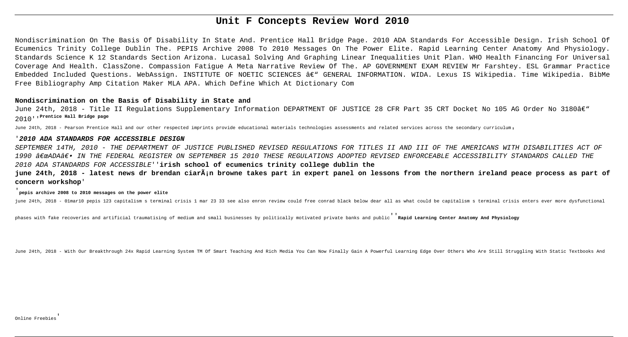# **Unit F Concepts Review Word 2010**

Nondiscrimination On The Basis Of Disability In State And. Prentice Hall Bridge Page. 2010 ADA Standards For Accessible Design. Irish School Of Ecumenics Trinity College Dublin The. PEPIS Archive 2008 To 2010 Messages On The Power Elite. Rapid Learning Center Anatomy And Physiology. Standards Science K 12 Standards Section Arizona. Lucasal Solving And Graphing Linear Inequalities Unit Plan. WHO Health Financing For Universal Coverage And Health. ClassZone. Compassion Fatigue A Meta Narrative Review Of The. AP GOVERNMENT EXAM REVIEW Mr Farshtey. ESL Grammar Practice Embedded Included Questions. WebAssign. INSTITUTE OF NOETIC SCIENCES â€" GENERAL INFORMATION. WIDA. Lexus IS Wikipedia. Time Wikipedia. BibMe Free Bibliography Amp Citation Maker MLA APA. Which Define Which At Dictionary Com

June 24th, 2018 - Title II Regulations Supplementary Information DEPARTMENT OF JUSTICE 28 CFR Part 35 CRT Docket No 105 AG Order No 3180â $\epsilon$ " 2010''**Prentice Hall Bridge page**

June 24th, 2018 - Pearson Prentice Hall and our other respected imprints provide educational materials technologies assessments and related services across the secondary curriculum,

# **Nondiscrimination on the Basis of Disability in State and**

## '**2010 ADA STANDARDS FOR ACCESSIBLE DESIGN**

SEPTEMBER 14TH, 2010 - THE DEPARTMENT OF JUSTICE PUBLISHED REVISED REGULATIONS FOR TITLES II AND III OF THE AMERICANS WITH DISABILITIES ACT OF 1990 "ADAۥ IN THE FEDERAL REGISTER ON SEPTEMBER 15 2010 THESE REGULATIONS ADOPTED REVISED ENFORCEABLE ACCESSIBILITY STANDARDS CALLED THE 2010 ADA STANDARDS FOR ACCESSIBLE''**irish school of ecumenics trinity college dublin the**

# **june 24th, 2018 - latest news dr brendan ciarán browne takes part in expert panel on lessons from the northern ireland peace process as part of concern workshop**'

## '**pepis archive 2008 to 2010 messages on the power elite**

june 24th, 2018 - 01mar10 pepis 123 capitalism s terminal crisis 1 mar 23 33 see also enron review could free conrad black below dear all as what could be capitalism s terminal crisis enters ever more dysfunctional

phases with fake recoveries and artificial traumatising of medium and small businesses by politically motivated private banks and public''**Rapid Learning Center Anatomy And Physiology**

June 24th, 2018 - With Our Breakthrough 24x Rapid Learning System TM Of Smart Teaching And Rich Media You Can Now Finally Gain A Powerful Learning Edge Over Others Who Are Still Struggling With Static Textbooks And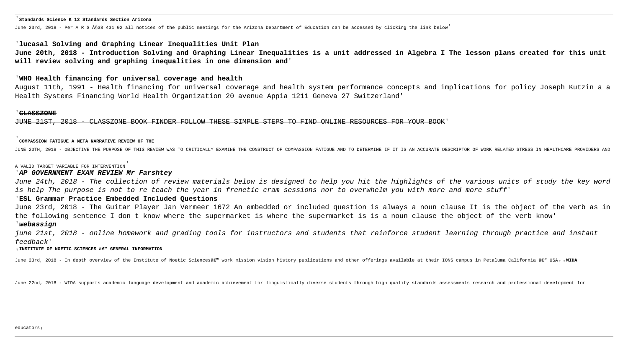#### '**Standards Science K 12 Standards Section Arizona**

June 23rd, 2018 - Per A R S §38 431 02 all notices of the public meetings for the Arizona Department of Education can be accessed by clicking the link below'

## '**lucasal Solving and Graphing Linear Inequalities Unit Plan**

**June 20th, 2018 - Introduction Solving and Graphing Linear Inequalities is a unit addressed in Algebra I The lesson plans created for this unit will review solving and graphing inequalities in one dimension and**'

## '**WHO Health financing for universal coverage and health**

August 11th, 1991 - Health financing for universal coverage and health system performance concepts and implications for policy Joseph Kutzin a a Health Systems Financing World Health Organization 20 avenue Appia 1211 Geneva 27 Switzerland'

### '**CLASSZONE**

JUNE 21ST, 2018 - CLASSZONE BOOK FINDER FOLLOW THESE SIMPLE STEPS TO FIND ONLINE RESOURCES FOR YOUR BOOK'

### '**COMPASSION FATIGUE A META NARRATIVE REVIEW OF THE**

JUNE 20TH, 2018 - OBJECTIVE THE PURPOSE OF THIS REVIEW WAS TO CRITICALLY EXAMINE THE CONSTRUCT OF COMPASSION FATIGUE AND TO DETERMINE IF IT IS AN ACCURATE DESCRIPTOR OF WORK RELATED STRESS IN HEALTHCARE PROVIDERS AND

june 21st, 2018 - online homework and grading tools for instructors and students that reinforce student learning through practice and instant feedback'

#### **, INSTITUTE OF NOETIC SCIENCES ' GENERAL INFORMATION**

June 23rd, 2018 - In depth overview of the Institute of Noetic Sciences' work mission vision history publications and other offerings available at their IONS campus in Petaluma California ' USA,, WID**A** 

June 22nd, 2018 - WIDA supports academic language development and academic achievement for linguistically diverse students through high quality standards assessments research and professional development for

### A VALID TARGET VARIABLE FOR INTERVENTION'

## '**AP GOVERNMENT EXAM REVIEW Mr Farshtey**

June 24th, 2018 - The collection of review materials below is designed to help you hit the highlights of the various units of study the key word is help The purpose is not to re teach the year in frenetic cram sessions nor to overwhelm you with more and more stuff'

# '**ESL Grammar Practice Embedded Included Questions**

June 23rd, 2018 - The Guitar Player Jan Vermeer 1672 An embedded or included question is always a noun clause It is the object of the verb as in the following sentence I don t know where the supermarket is where the supermarket is is a noun clause the object of the verb know' '**webassign**